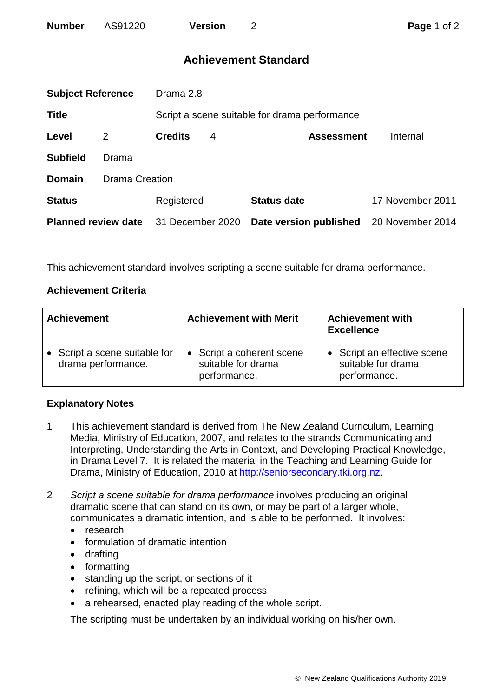## **Achievement Standard**

| <b>Subject Reference</b>   |                       | Drama 2.8        |   |                                               |                  |  |
|----------------------------|-----------------------|------------------|---|-----------------------------------------------|------------------|--|
| <b>Title</b>               |                       |                  |   | Script a scene suitable for drama performance |                  |  |
| Level                      | 2                     | <b>Credits</b>   | 4 | <b>Assessment</b>                             | Internal         |  |
| <b>Subfield</b>            | Drama                 |                  |   |                                               |                  |  |
| <b>Domain</b>              | <b>Drama Creation</b> |                  |   |                                               |                  |  |
| <b>Status</b>              |                       | Registered       |   | <b>Status date</b>                            | 17 November 2011 |  |
| <b>Planned review date</b> |                       | 31 December 2020 |   | Date version published                        | 20 November 2014 |  |
|                            |                       |                  |   |                                               |                  |  |

This achievement standard involves scripting a scene suitable for drama performance.

## **Achievement Criteria**

| <b>Achievement</b>                                  | <b>Achievement with Merit</b>                                   | <b>Achievement with</b><br><b>Excellence</b>                      |  |
|-----------------------------------------------------|-----------------------------------------------------------------|-------------------------------------------------------------------|--|
| • Script a scene suitable for<br>drama performance. | • Script a coherent scene<br>suitable for drama<br>performance. | • Script an effective scene<br>suitable for drama<br>performance. |  |

## **Explanatory Notes**

- 1 This achievement standard is derived from The New Zealand Curriculum, Learning Media, Ministry of Education, 2007, and relates to the strands Communicating and Interpreting, Understanding the Arts in Context, and Developing Practical Knowledge, in Drama Level 7. It is related the material in the Teaching and Learning Guide for Drama, Ministry of Education, 2010 at [http://seniorsecondary.tki.org.nz.](http://seniorsecondary.tki.org.nz/)
- 2 *Script a scene suitable for drama performance* involves producing an original dramatic scene that can stand on its own, or may be part of a larger whole, communicates a dramatic intention, and is able to be performed. It involves:
	- research
	- formulation of dramatic intention
	- drafting
	- formatting
	- standing up the script, or sections of it
	- refining, which will be a repeated process
	- a rehearsed, enacted play reading of the whole script.

The scripting must be undertaken by an individual working on his/her own.